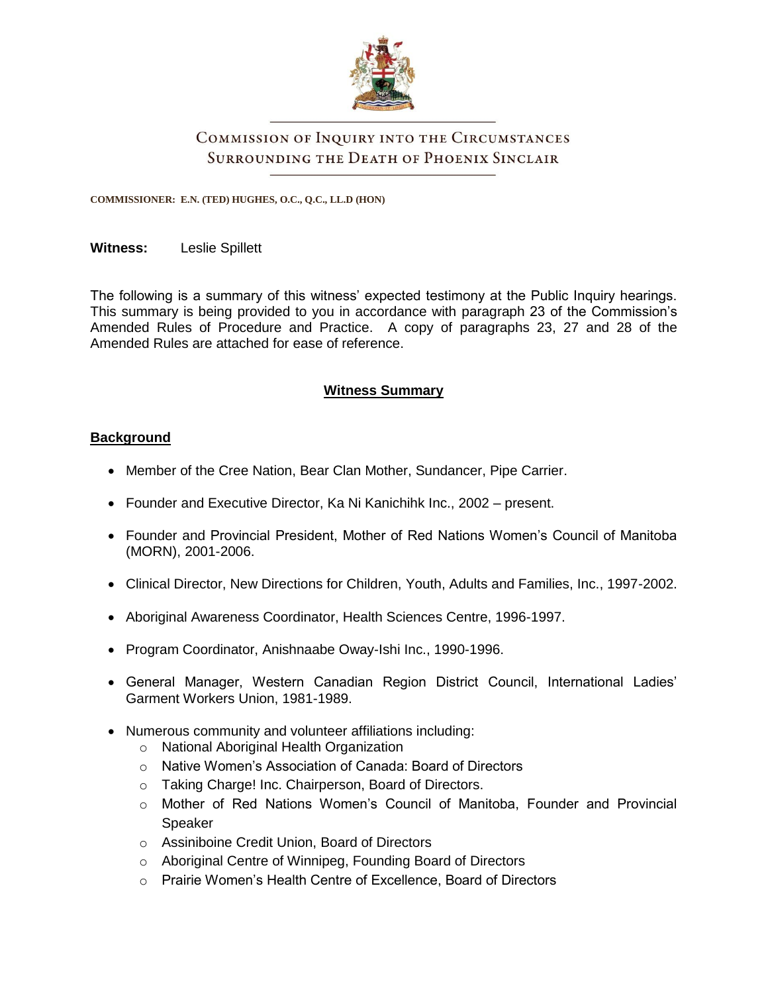

# COMMISSION OF INQUIRY INTO THE CIRCUMSTANCES SURROUNDING THE DEATH OF PHOENIX SINCLAIR

**COMMISSIONER: E.N. (TED) HUGHES, O.C., Q.C., LL.D (HON)**

#### **Witness:** Leslie Spillett

The following is a summary of this witness' expected testimony at the Public Inquiry hearings. This summary is being provided to you in accordance with paragraph 23 of the Commission's Amended Rules of Procedure and Practice. A copy of paragraphs 23, 27 and 28 of the Amended Rules are attached for ease of reference.

# **Witness Summary**

## **Background**

- Member of the Cree Nation, Bear Clan Mother, Sundancer, Pipe Carrier.
- Founder and Executive Director, Ka Ni Kanichihk Inc., 2002 present.
- Founder and Provincial President, Mother of Red Nations Women's Council of Manitoba (MORN), 2001-2006.
- Clinical Director, New Directions for Children, Youth, Adults and Families, Inc., 1997-2002.
- Aboriginal Awareness Coordinator, Health Sciences Centre, 1996-1997.
- Program Coordinator, Anishnaabe Oway-Ishi Inc., 1990-1996.
- General Manager, Western Canadian Region District Council, International Ladies' Garment Workers Union, 1981-1989.
- Numerous community and volunteer affiliations including:
	- o National Aboriginal Health Organization
	- o Native Women's Association of Canada: Board of Directors
	- o Taking Charge! Inc. Chairperson, Board of Directors.
	- o Mother of Red Nations Women's Council of Manitoba, Founder and Provincial Speaker
	- o Assiniboine Credit Union, Board of Directors
	- o Aboriginal Centre of Winnipeg, Founding Board of Directors
	- o Prairie Women's Health Centre of Excellence, Board of Directors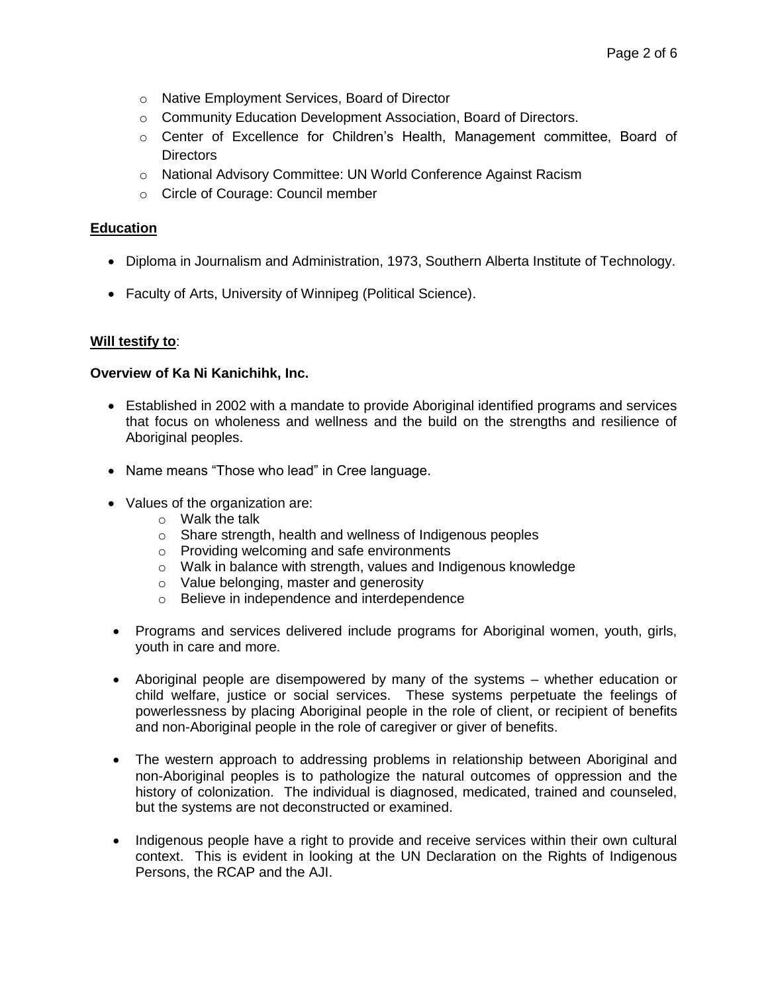- o Native Employment Services, Board of Director
- o Community Education Development Association, Board of Directors.
- o Center of Excellence for Children's Health, Management committee, Board of **Directors**
- o National Advisory Committee: UN World Conference Against Racism
- o Circle of Courage: Council member

#### **Education**

- Diploma in Journalism and Administration, 1973, Southern Alberta Institute of Technology.
- Faculty of Arts, University of Winnipeg (Political Science).

#### **Will testify to**:

#### **Overview of Ka Ni Kanichihk, Inc.**

- Established in 2002 with a mandate to provide Aboriginal identified programs and services that focus on wholeness and wellness and the build on the strengths and resilience of Aboriginal peoples.
- Name means "Those who lead" in Cree language.
- Values of the organization are:
	- o Walk the talk
	- o Share strength, health and wellness of Indigenous peoples
	- o Providing welcoming and safe environments
	- o Walk in balance with strength, values and Indigenous knowledge
	- o Value belonging, master and generosity
	- o Believe in independence and interdependence
- Programs and services delivered include programs for Aboriginal women, youth, girls, youth in care and more.
- Aboriginal people are disempowered by many of the systems whether education or child welfare, justice or social services. These systems perpetuate the feelings of powerlessness by placing Aboriginal people in the role of client, or recipient of benefits and non-Aboriginal people in the role of caregiver or giver of benefits.
- The western approach to addressing problems in relationship between Aboriginal and non-Aboriginal peoples is to pathologize the natural outcomes of oppression and the history of colonization. The individual is diagnosed, medicated, trained and counseled, but the systems are not deconstructed or examined.
- Indigenous people have a right to provide and receive services within their own cultural context. This is evident in looking at the UN Declaration on the Rights of Indigenous Persons, the RCAP and the AJI.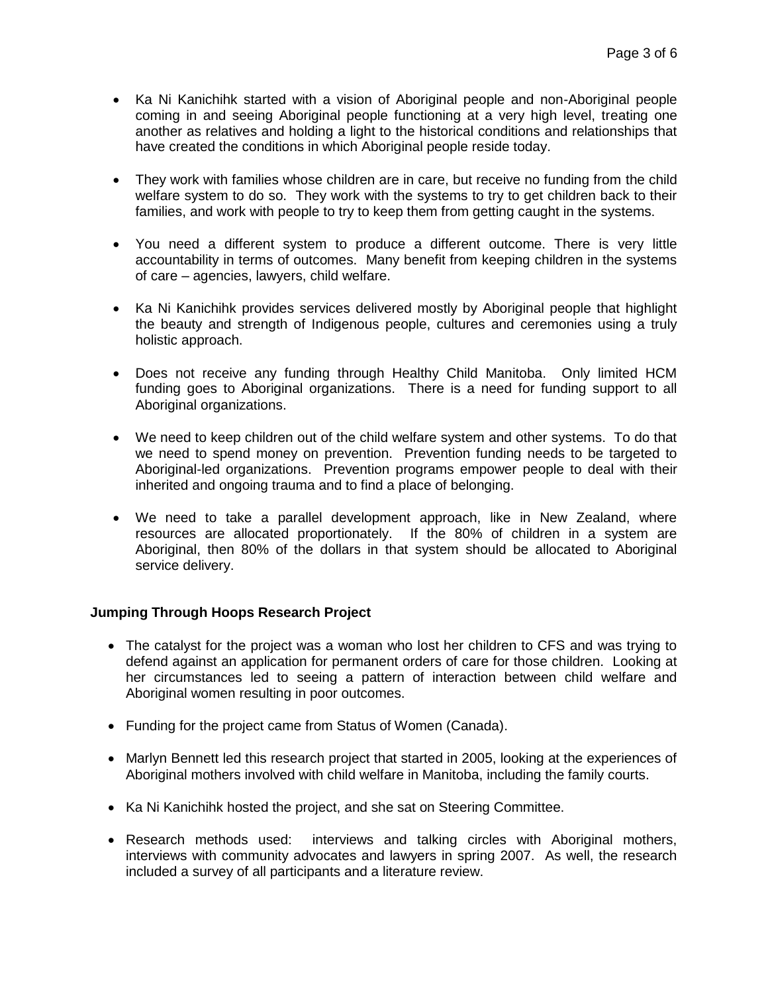- Ka Ni Kanichihk started with a vision of Aboriginal people and non-Aboriginal people coming in and seeing Aboriginal people functioning at a very high level, treating one another as relatives and holding a light to the historical conditions and relationships that have created the conditions in which Aboriginal people reside today.
- They work with families whose children are in care, but receive no funding from the child welfare system to do so. They work with the systems to try to get children back to their families, and work with people to try to keep them from getting caught in the systems.
- You need a different system to produce a different outcome. There is very little accountability in terms of outcomes. Many benefit from keeping children in the systems of care – agencies, lawyers, child welfare.
- Ka Ni Kanichihk provides services delivered mostly by Aboriginal people that highlight the beauty and strength of Indigenous people, cultures and ceremonies using a truly holistic approach.
- Does not receive any funding through Healthy Child Manitoba. Only limited HCM funding goes to Aboriginal organizations. There is a need for funding support to all Aboriginal organizations.
- We need to keep children out of the child welfare system and other systems. To do that we need to spend money on prevention. Prevention funding needs to be targeted to Aboriginal-led organizations. Prevention programs empower people to deal with their inherited and ongoing trauma and to find a place of belonging.
- We need to take a parallel development approach, like in New Zealand, where resources are allocated proportionately. If the 80% of children in a system are Aboriginal, then 80% of the dollars in that system should be allocated to Aboriginal service delivery.

## **Jumping Through Hoops Research Project**

- The catalyst for the project was a woman who lost her children to CFS and was trying to defend against an application for permanent orders of care for those children. Looking at her circumstances led to seeing a pattern of interaction between child welfare and Aboriginal women resulting in poor outcomes.
- Funding for the project came from Status of Women (Canada).
- Marlyn Bennett led this research project that started in 2005, looking at the experiences of Aboriginal mothers involved with child welfare in Manitoba, including the family courts.
- Ka Ni Kanichihk hosted the project, and she sat on Steering Committee.
- Research methods used: interviews and talking circles with Aboriginal mothers, interviews with community advocates and lawyers in spring 2007. As well, the research included a survey of all participants and a literature review.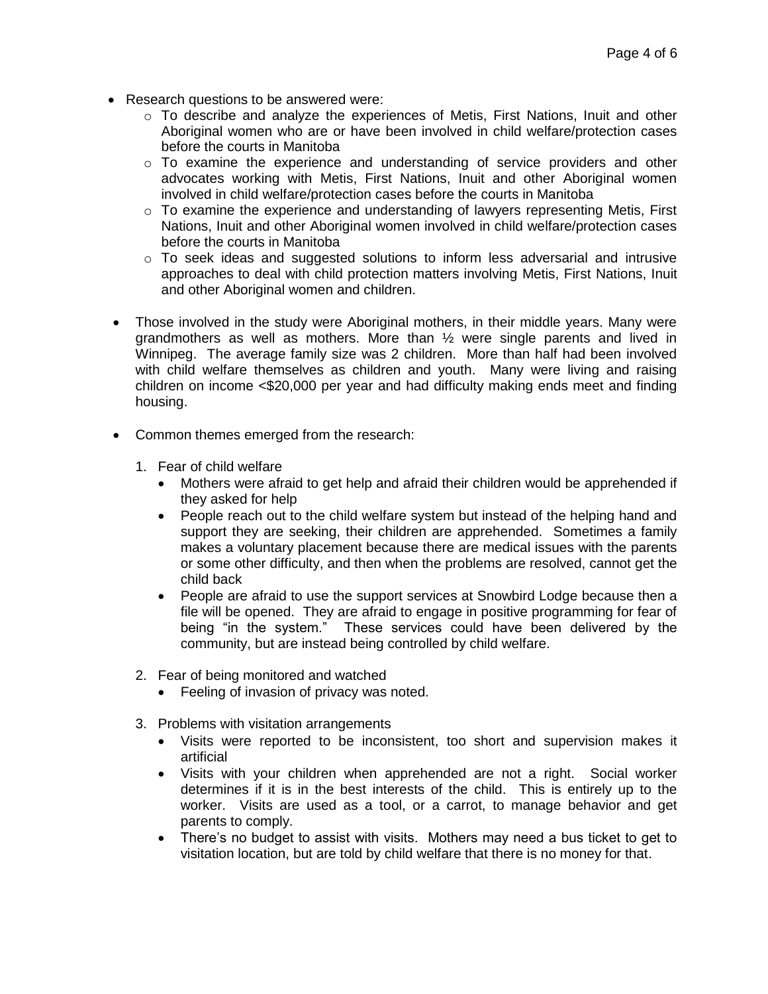- Research questions to be answered were:
	- o To describe and analyze the experiences of Metis, First Nations, Inuit and other Aboriginal women who are or have been involved in child welfare/protection cases before the courts in Manitoba
	- $\circ$  To examine the experience and understanding of service providers and other advocates working with Metis, First Nations, Inuit and other Aboriginal women involved in child welfare/protection cases before the courts in Manitoba
	- $\circ$  To examine the experience and understanding of lawyers representing Metis, First Nations, Inuit and other Aboriginal women involved in child welfare/protection cases before the courts in Manitoba
	- $\circ$  To seek ideas and suggested solutions to inform less adversarial and intrusive approaches to deal with child protection matters involving Metis, First Nations, Inuit and other Aboriginal women and children.
- Those involved in the study were Aboriginal mothers, in their middle years. Many were grandmothers as well as mothers. More than  $\frac{1}{2}$  were single parents and lived in Winnipeg. The average family size was 2 children. More than half had been involved with child welfare themselves as children and youth. Many were living and raising children on income <\$20,000 per year and had difficulty making ends meet and finding housing.
- Common themes emerged from the research:
	- 1. Fear of child welfare
		- Mothers were afraid to get help and afraid their children would be apprehended if they asked for help
		- People reach out to the child welfare system but instead of the helping hand and support they are seeking, their children are apprehended. Sometimes a family makes a voluntary placement because there are medical issues with the parents or some other difficulty, and then when the problems are resolved, cannot get the child back
		- People are afraid to use the support services at Snowbird Lodge because then a file will be opened. They are afraid to engage in positive programming for fear of being "in the system." These services could have been delivered by the community, but are instead being controlled by child welfare.
	- 2. Fear of being monitored and watched
		- Feeling of invasion of privacy was noted.
	- 3. Problems with visitation arrangements
		- Visits were reported to be inconsistent, too short and supervision makes it artificial
		- Visits with your children when apprehended are not a right. Social worker determines if it is in the best interests of the child. This is entirely up to the worker. Visits are used as a tool, or a carrot, to manage behavior and get parents to comply.
		- There's no budget to assist with visits. Mothers may need a bus ticket to get to visitation location, but are told by child welfare that there is no money for that.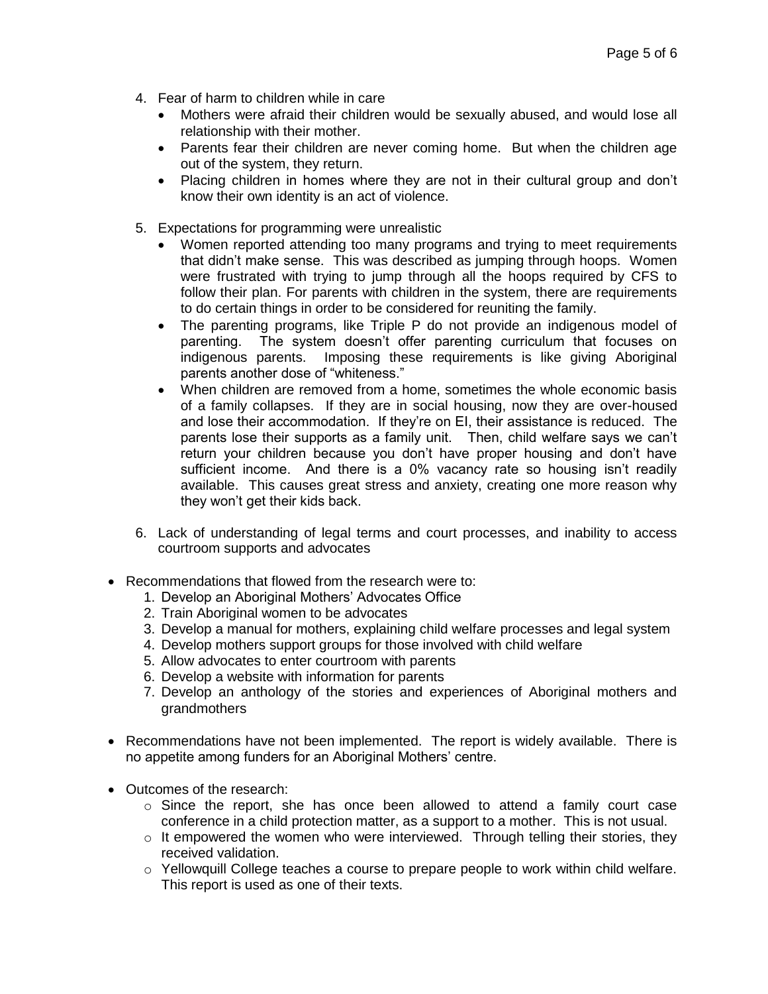- 4. Fear of harm to children while in care
	- Mothers were afraid their children would be sexually abused, and would lose all relationship with their mother.
	- Parents fear their children are never coming home. But when the children age out of the system, they return.
	- Placing children in homes where they are not in their cultural group and don't know their own identity is an act of violence.
- 5. Expectations for programming were unrealistic
	- Women reported attending too many programs and trying to meet requirements that didn't make sense. This was described as jumping through hoops. Women were frustrated with trying to jump through all the hoops required by CFS to follow their plan. For parents with children in the system, there are requirements to do certain things in order to be considered for reuniting the family.
	- The parenting programs, like Triple P do not provide an indigenous model of parenting. The system doesn't offer parenting curriculum that focuses on indigenous parents. Imposing these requirements is like giving Aboriginal parents another dose of "whiteness."
	- When children are removed from a home, sometimes the whole economic basis of a family collapses. If they are in social housing, now they are over-housed and lose their accommodation. If they're on EI, their assistance is reduced. The parents lose their supports as a family unit. Then, child welfare says we can't return your children because you don't have proper housing and don't have sufficient income. And there is a 0% vacancy rate so housing isn't readily available. This causes great stress and anxiety, creating one more reason why they won't get their kids back.
- 6. Lack of understanding of legal terms and court processes, and inability to access courtroom supports and advocates
- Recommendations that flowed from the research were to:
	- 1. Develop an Aboriginal Mothers' Advocates Office
	- 2. Train Aboriginal women to be advocates
	- 3. Develop a manual for mothers, explaining child welfare processes and legal system
	- 4. Develop mothers support groups for those involved with child welfare
	- 5. Allow advocates to enter courtroom with parents
	- 6. Develop a website with information for parents
	- 7. Develop an anthology of the stories and experiences of Aboriginal mothers and grandmothers
- Recommendations have not been implemented. The report is widely available. There is no appetite among funders for an Aboriginal Mothers' centre.
- Outcomes of the research:
	- $\circ$  Since the report, she has once been allowed to attend a family court case conference in a child protection matter, as a support to a mother. This is not usual.
	- $\circ$  It empowered the women who were interviewed. Through telling their stories, they received validation.
	- o Yellowquill College teaches a course to prepare people to work within child welfare. This report is used as one of their texts.